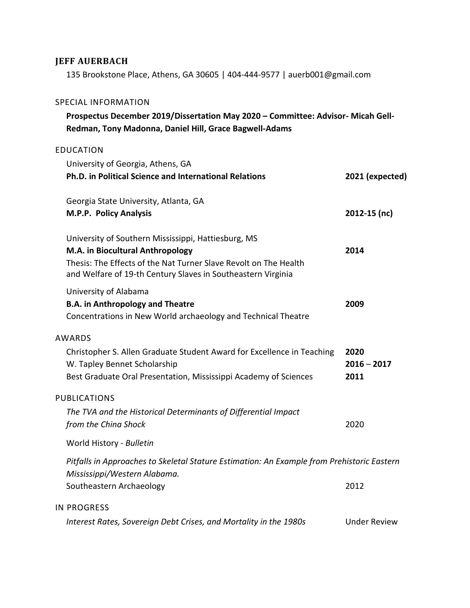# **JEFF AUERBACH**

135 Brookstone Place, Athens, GA 30605 | 404-444-9577 | auerb001@gmail.com

#### SPECIAL INFORMATION

## **Prospectus December 2019/Dissertation May 2020 – Committee: Advisor- Micah Gell-Redman, Tony Madonna, Daniel Hill, Grace Bagwell-Adams**

#### EDUCATION

| University of Georgia, Athens, GA<br>Ph.D. in Political Science and International Relations                                                                                                                                 | 2021 (expected)               |
|-----------------------------------------------------------------------------------------------------------------------------------------------------------------------------------------------------------------------------|-------------------------------|
| Georgia State University, Atlanta, GA<br>M.P.P. Policy Analysis                                                                                                                                                             | 2012-15 (nc)                  |
| University of Southern Mississippi, Hattiesburg, MS<br>M.A. in Biocultural Anthropology<br>Thesis: The Effects of the Nat Turner Slave Revolt on The Health<br>and Welfare of 19-th Century Slaves in Southeastern Virginia | 2014                          |
| University of Alabama<br><b>B.A. in Anthropology and Theatre</b><br>Concentrations in New World archaeology and Technical Theatre                                                                                           | 2009                          |
| <b>AWARDS</b><br>Christopher S. Allen Graduate Student Award for Excellence in Teaching<br>W. Tapley Bennet Scholarship<br>Best Graduate Oral Presentation, Mississippi Academy of Sciences                                 | 2020<br>$2016 - 2017$<br>2011 |
| <b>PUBLICATIONS</b><br>The TVA and the Historical Determinants of Differential Impact<br>from the China Shock<br>World History - Bulletin                                                                                   | 2020                          |
| Pitfalls in Approaches to Skeletal Stature Estimation: An Example from Prehistoric Eastern<br>Mississippi/Western Alabama.<br>Southeastern Archaeology                                                                      | 2012                          |
| <b>IN PROGRESS</b><br>Interest Rates, Sovereign Debt Crises, and Mortality in the 1980s                                                                                                                                     | <b>Under Review</b>           |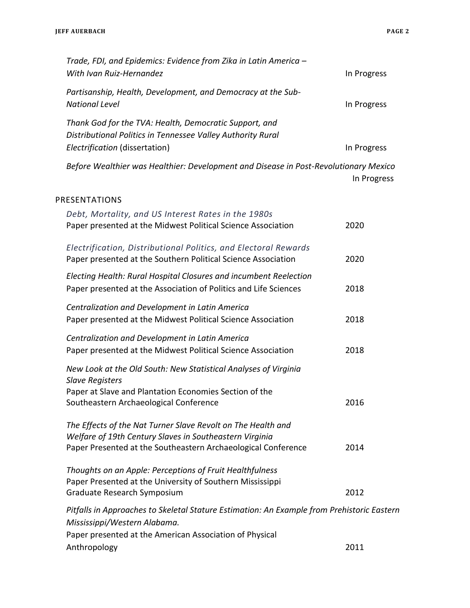| Trade, FDI, and Epidemics: Evidence from Zika in Latin America -                                                      |             |
|-----------------------------------------------------------------------------------------------------------------------|-------------|
| With Ivan Ruiz-Hernandez                                                                                              | In Progress |
| Partisanship, Health, Development, and Democracy at the Sub-                                                          |             |
| <b>National Level</b>                                                                                                 | In Progress |
| Thank God for the TVA: Health, Democratic Support, and                                                                |             |
| Distributional Politics in Tennessee Valley Authority Rural                                                           |             |
| Electrification (dissertation)                                                                                        | In Progress |
| Before Wealthier was Healthier: Development and Disease in Post-Revolutionary Mexico                                  |             |
|                                                                                                                       | In Progress |
| PRESENTATIONS                                                                                                         |             |
| Debt, Mortality, and US Interest Rates in the 1980s                                                                   |             |
| Paper presented at the Midwest Political Science Association                                                          | 2020        |
|                                                                                                                       |             |
| Electrification, Distributional Politics, and Electoral Rewards                                                       |             |
| Paper presented at the Southern Political Science Association                                                         | 2020        |
| Electing Health: Rural Hospital Closures and incumbent Reelection                                                     |             |
| Paper presented at the Association of Politics and Life Sciences                                                      | 2018        |
| Centralization and Development in Latin America                                                                       |             |
| Paper presented at the Midwest Political Science Association                                                          | 2018        |
| Centralization and Development in Latin America                                                                       |             |
| Paper presented at the Midwest Political Science Association                                                          | 2018        |
| New Look at the Old South: New Statistical Analyses of Virginia                                                       |             |
| <b>Slave Registers</b>                                                                                                |             |
| Paper at Slave and Plantation Economies Section of the                                                                |             |
| Southeastern Archaeological Conference                                                                                | 2016        |
| The Effects of the Nat Turner Slave Revolt on The Health and                                                          |             |
| Welfare of 19th Century Slaves in Southeastern Virginia                                                               |             |
| Paper Presented at the Southeastern Archaeological Conference                                                         | 2014        |
|                                                                                                                       |             |
| Thoughts on an Apple: Perceptions of Fruit Healthfulness<br>Paper Presented at the University of Southern Mississippi |             |
| Graduate Research Symposium                                                                                           | 2012        |
| Pitfalls in Approaches to Skeletal Stature Estimation: An Example from Prehistoric Eastern                            |             |
| Mississippi/Western Alabama.                                                                                          |             |
| Paper presented at the American Association of Physical                                                               |             |
| Anthropology                                                                                                          | 2011        |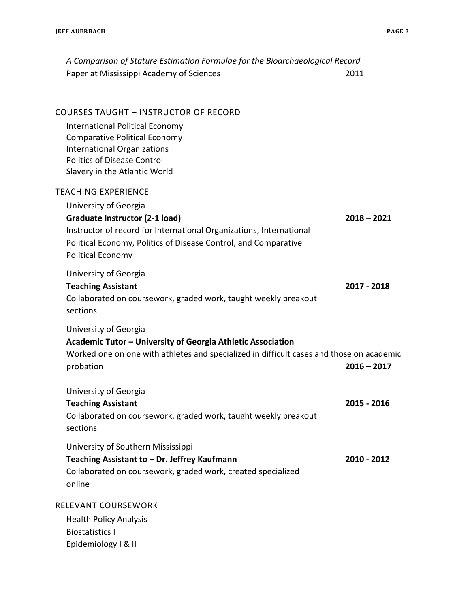| A Comparison of Stature Estimation Formulae for the Bioarchaeological Record                                                                                                                                           |               |
|------------------------------------------------------------------------------------------------------------------------------------------------------------------------------------------------------------------------|---------------|
| Paper at Mississippi Academy of Sciences                                                                                                                                                                               | 2011          |
| COURSES TAUGHT - INSTRUCTOR OF RECORD                                                                                                                                                                                  |               |
| International Political Economy<br><b>Comparative Political Economy</b><br><b>International Organizations</b><br><b>Politics of Disease Control</b><br>Slavery in the Atlantic World                                   |               |
| <b>TEACHING EXPERIENCE</b>                                                                                                                                                                                             |               |
| University of Georgia<br>Graduate Instructor (2-1 load)<br>Instructor of record for International Organizations, International<br>Political Economy, Politics of Disease Control, and Comparative<br>Political Economy | $2018 - 2021$ |
| University of Georgia<br><b>Teaching Assistant</b><br>Collaborated on coursework, graded work, taught weekly breakout<br>sections                                                                                      | 2017 - 2018   |
| University of Georgia<br>Academic Tutor - University of Georgia Athletic Association<br>Worked one on one with athletes and specialized in difficult cases and those on academic<br>probation                          | $2016 - 2017$ |
| University of Georgia<br><b>Teaching Assistant</b><br>Collaborated on coursework, graded work, taught weekly breakout<br>sections                                                                                      | 2015 - 2016   |
| University of Southern Mississippi<br>Teaching Assistant to - Dr. Jeffrey Kaufmann<br>Collaborated on coursework, graded work, created specialized<br>online                                                           | 2010 - 2012   |
| RELEVANT COURSEWORK                                                                                                                                                                                                    |               |
| <b>Health Policy Analysis</b><br><b>Biostatistics I</b><br>Epidemiology I & II                                                                                                                                         |               |